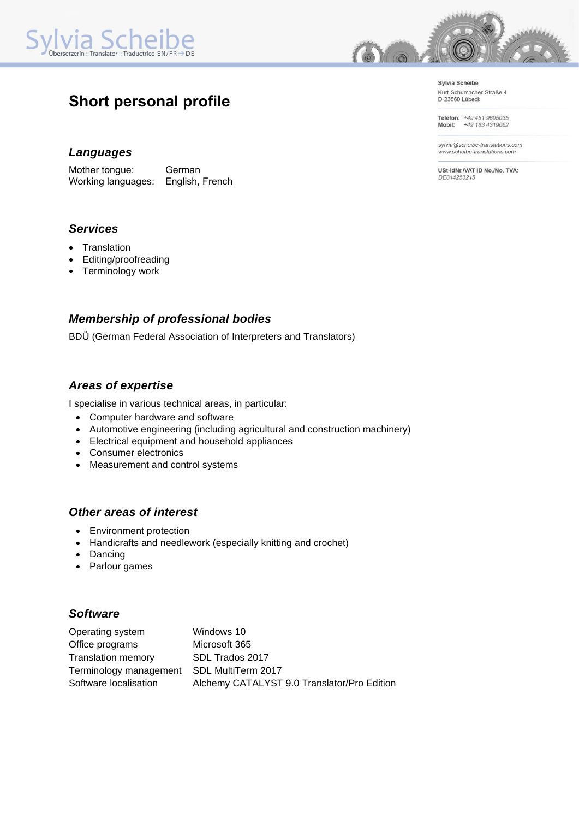

# **Short personal profile**

### *Languages*

Mother tongue: German Working languages: English, French

*Services*

- Translation
- Editing/proofreading
- Terminology work

# *Membership of professional bodies*

BDÜ (German Federal Association of Interpreters and Translators)

### *Areas of expertise*

I specialise in various technical areas, in particular:

- Computer hardware and software
- Automotive engineering (including agricultural and construction machinery)
- Electrical equipment and household appliances
- Consumer electronics
- Measurement and control systems

### *Other areas of interest*

- Environment protection
- Handicrafts and needlework (especially knitting and crochet)
- Dancing
- Parlour games

# *Software*

| Operating system          | Windows 10                                  |
|---------------------------|---------------------------------------------|
| Office programs           | Microsoft 365                               |
| <b>Translation memory</b> | SDL Trados 2017                             |
| Terminology management    | SDL MultiTerm 2017                          |
| Software localisation     | Alchemy CATALYST 9.0 Translator/Pro Edition |



Sylvia Scheibe Kurt-Schumacher-Straße 4<br>D-23560 Lübeck

Telefon: +49 451 9695035<br>Mobil: +49 163 4319062

sylvia@scheibe-translations.com www.scheibe-translations.com

USt-IdNr./VAT ID No./No. TVA: DE814253215